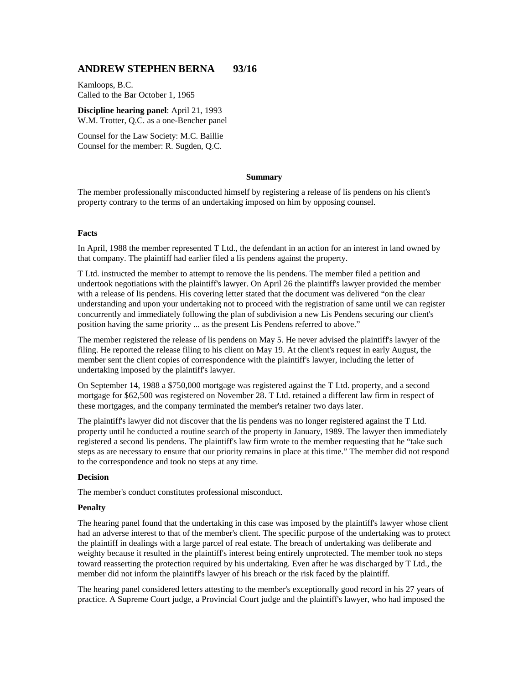# **ANDREW STEPHEN BERNA 93/16**

Kamloops, B.C. Called to the Bar October 1, 1965

**Discipline hearing panel**: April 21, 1993 W.M. Trotter, Q.C. as a one-Bencher panel

Counsel for the Law Society: M.C. Baillie Counsel for the member: R. Sugden, Q.C.

### **Summary**

The member professionally misconducted himself by registering a release of lis pendens on his client's property contrary to the terms of an undertaking imposed on him by opposing counsel.

## **Facts**

In April, 1988 the member represented T Ltd., the defendant in an action for an interest in land owned by that company. The plaintiff had earlier filed a lis pendens against the property.

T Ltd. instructed the member to attempt to remove the lis pendens. The member filed a petition and undertook negotiations with the plaintiff's lawyer. On April 26 the plaintiff's lawyer provided the member with a release of lis pendens. His covering letter stated that the document was delivered "on the clear understanding and upon your undertaking not to proceed with the registration of same until we can register concurrently and immediately following the plan of subdivision a new Lis Pendens securing our client's position having the same priority ... as the present Lis Pendens referred to above."

The member registered the release of lis pendens on May 5. He never advised the plaintiff's lawyer of the filing. He reported the release filing to his client on May 19. At the client's request in early August, the member sent the client copies of correspondence with the plaintiff's lawyer, including the letter of undertaking imposed by the plaintiff's lawyer.

On September 14, 1988 a \$750,000 mortgage was registered against the T Ltd. property, and a second mortgage for \$62,500 was registered on November 28. T Ltd. retained a different law firm in respect of these mortgages, and the company terminated the member's retainer two days later.

The plaintiff's lawyer did not discover that the lis pendens was no longer registered against the T Ltd. property until he conducted a routine search of the property in January, 1989. The lawyer then immediately registered a second lis pendens. The plaintiff's law firm wrote to the member requesting that he "take such steps as are necessary to ensure that our priority remains in place at this time." The member did not respond to the correspondence and took no steps at any time.

### **Decision**

The member's conduct constitutes professional misconduct.

#### **Penalty**

The hearing panel found that the undertaking in this case was imposed by the plaintiff's lawyer whose client had an adverse interest to that of the member's client. The specific purpose of the undertaking was to protect the plaintiff in dealings with a large parcel of real estate. The breach of undertaking was deliberate and weighty because it resulted in the plaintiff's interest being entirely unprotected. The member took no steps toward reasserting the protection required by his undertaking. Even after he was discharged by T Ltd., the member did not inform the plaintiff's lawyer of his breach or the risk faced by the plaintiff.

The hearing panel considered letters attesting to the member's exceptionally good record in his 27 years of practice. A Supreme Court judge, a Provincial Court judge and the plaintiff's lawyer, who had imposed the